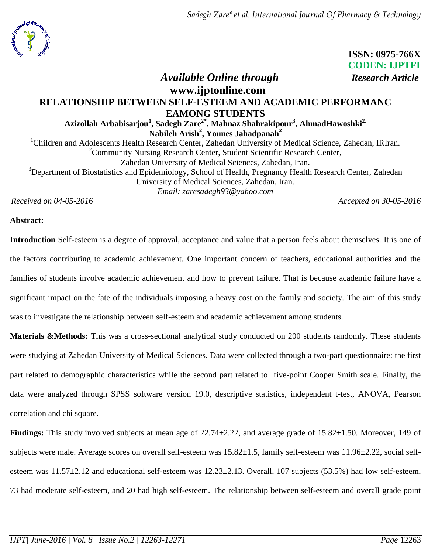

 **ISSN: 0975-766X CODEN: IJPTFI**

# *Available Online through Research Article* **www.ijptonline.com RELATIONSHIP BETWEEN SELF-ESTEEM AND ACADEMIC PERFORMANC EAMONG STUDENTS Azizollah Arbabisarjou<sup>1</sup> , Sadegh Zare2\*, Mahnaz Shahrakipour<sup>3</sup> , AhmadHawoshki2, Nabileh Arish<sup>2</sup> , Younes Jahadpanah<sup>2</sup>** <sup>1</sup>Children and Adolescents Health Research Center, Zahedan University of Medical Science, Zahedan, IRIran. <sup>2</sup>Community Nursing Research Center, Student Scientific Research Center, Zahedan University of Medical Sciences, Zahedan, Iran. <sup>3</sup>Department of Biostatistics and Epidemiology, School of Health, Pregnancy Health Research Center, Zahedan

University of Medical Sciences, Zahedan, Iran. *Email: [zaresadegh93@yahoo.com](mailto:zaresadegh93@yahoo.com)*

*Received on 04-05-2016 Accepted on 30-05-2016*

## **Abstract:**

**Introduction** Self-esteem is a degree of approval, acceptance and value that a person feels about themselves. It is one of the factors contributing to academic achievement. One important concern of teachers, educational authorities and the families of students involve academic achievement and how to prevent failure. That is because academic failure have a significant impact on the fate of the individuals imposing a heavy cost on the family and society. The aim of this study was to investigate the relationship between self-esteem and academic achievement among students.

**Materials &Methods:** This was a cross-sectional analytical study conducted on 200 students randomly. These students were studying at Zahedan University of Medical Sciences. Data were collected through a two-part questionnaire: the first part related to demographic characteristics while the second part related to five-point Cooper Smith scale. Finally, the data were analyzed through SPSS software version 19.0, descriptive statistics, independent t-test, ANOVA, Pearson correlation and chi square.

**Findings:** This study involved subjects at mean age of 22.74±2.22, and average grade of 15.82±1.50. Moreover, 149 of subjects were male. Average scores on overall self-esteem was 15.82±1.5, family self-esteem was 11.96±2.22, social selfesteem was  $11.57\pm2.12$  and educational self-esteem was  $12.23\pm2.13$ . Overall, 107 subjects (53.5%) had low self-esteem, 73 had moderate self-esteem, and 20 had high self-esteem. The relationship between self-esteem and overall grade point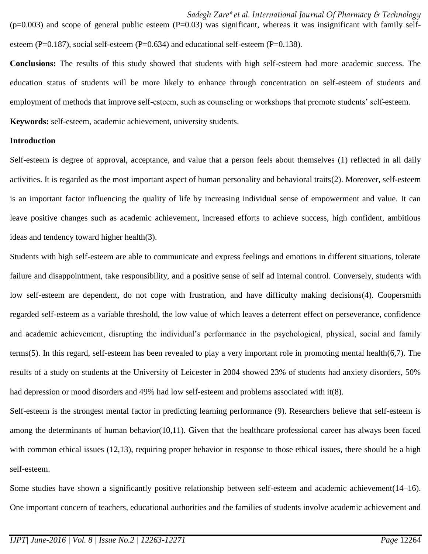$(p=0.003)$  and scope of general public esteem  $(P=0.03)$  was significant, whereas it was insignificant with family selfesteem (P=0.187), social self-esteem (P=0.634) and educational self-esteem (P=0.138).

**Conclusions:** The results of this study showed that students with high self-esteem had more academic success. The education status of students will be more likely to enhance through concentration on self-esteem of students and employment of methods that improve self-esteem, such as counseling or workshops that promote students' self-esteem. **Keywords:** self-esteem, academic achievement, university students.

#### **Introduction**

Self-esteem is degree of approval, acceptance, and value that a person feels about themselves (1) reflected in all daily activities. It is regarded as the most important aspect of human personality and behavioral traits(2). Moreover, self-esteem is an important factor influencing the quality of life by increasing individual sense of empowerment and value. It can leave positive changes such as academic achievement, increased efforts to achieve success, high confident, ambitious ideas and tendency toward higher health(3).

Students with high self-esteem are able to communicate and express feelings and emotions in different situations, tolerate failure and disappointment, take responsibility, and a positive sense of self ad internal control. Conversely, students with low self-esteem are dependent, do not cope with frustration, and have difficulty making decisions(4). Coopersmith regarded self-esteem as a variable threshold, the low value of which leaves a deterrent effect on perseverance, confidence and academic achievement, disrupting the individual's performance in the psychological, physical, social and family terms(5). In this regard, self-esteem has been revealed to play a very important role in promoting mental health(6,7). The results of a study on students at the University of Leicester in 2004 showed 23% of students had anxiety disorders, 50% had depression or mood disorders and 49% had low self-esteem and problems associated with it(8).

Self-esteem is the strongest mental factor in predicting learning performance (9). Researchers believe that self-esteem is among the determinants of human behavior(10,11). Given that the healthcare professional career has always been faced with common ethical issues (12,13), requiring proper behavior in response to those ethical issues, there should be a high self-esteem.

Some studies have shown a significantly positive relationship between self-esteem and academic achievement(14–16). One important concern of teachers, educational authorities and the families of students involve academic achievement and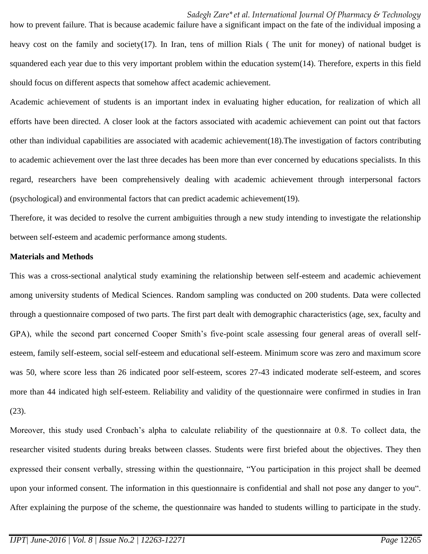how to prevent failure. That is because academic failure have a significant impact on the fate of the individual imposing a heavy cost on the family and society(17). In Iran, tens of million Rials (The unit for money) of national budget is squandered each year due to this very important problem within the education system(14). Therefore, experts in this field should focus on different aspects that somehow affect academic achievement.

Academic achievement of students is an important index in evaluating higher education, for realization of which all efforts have been directed. A closer look at the factors associated with academic achievement can point out that factors other than individual capabilities are associated with academic achievement(18).The investigation of factors contributing to academic achievement over the last three decades has been more than ever concerned by educations specialists. In this regard, researchers have been comprehensively dealing with academic achievement through interpersonal factors (psychological) and environmental factors that can predict academic achievement(19).

Therefore, it was decided to resolve the current ambiguities through a new study intending to investigate the relationship between self-esteem and academic performance among students.

#### **Materials and Methods**

This was a cross-sectional analytical study examining the relationship between self-esteem and academic achievement among university students of Medical Sciences. Random sampling was conducted on 200 students. Data were collected through a questionnaire composed of two parts. The first part dealt with demographic characteristics (age, sex, faculty and GPA), while the second part concerned Cooper Smith's five-point scale assessing four general areas of overall selfesteem, family self-esteem, social self-esteem and educational self-esteem. Minimum score was zero and maximum score was 50, where score less than 26 indicated poor self-esteem, scores 27-43 indicated moderate self-esteem, and scores more than 44 indicated high self-esteem. Reliability and validity of the questionnaire were confirmed in studies in Iran (23).

Moreover, this study used Cronbach's alpha to calculate reliability of the questionnaire at 0.8. To collect data, the researcher visited students during breaks between classes. Students were first briefed about the objectives. They then expressed their consent verbally, stressing within the questionnaire, "You participation in this project shall be deemed upon your informed consent. The information in this questionnaire is confidential and shall not pose any danger to you". After explaining the purpose of the scheme, the questionnaire was handed to students willing to participate in the study.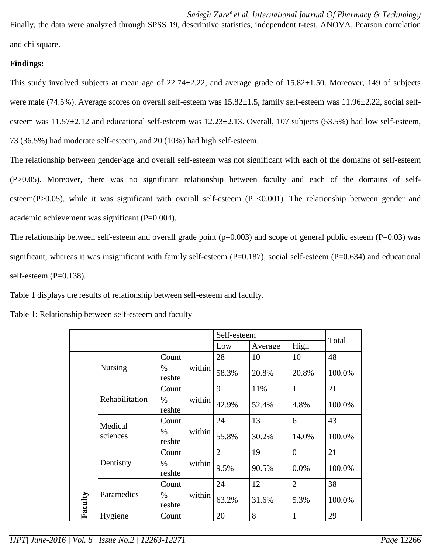Finally, the data were analyzed through SPSS 19, descriptive statistics, independent t-test, ANOVA, Pearson correlation and chi square.

## **Findings:**

This study involved subjects at mean age of  $22.74 \pm 2.22$ , and average grade of  $15.82 \pm 1.50$ . Moreover, 149 of subjects were male (74.5%). Average scores on overall self-esteem was  $15.82\pm1.5$ , family self-esteem was  $11.96\pm2.22$ , social selfesteem was  $11.57\pm2.12$  and educational self-esteem was  $12.23\pm2.13$ . Overall, 107 subjects (53.5%) had low self-esteem, 73 (36.5%) had moderate self-esteem, and 20 (10%) had high self-esteem.

The relationship between gender/age and overall self-esteem was not significant with each of the domains of self-esteem (P>0.05). Moreover, there was no significant relationship between faculty and each of the domains of selfesteem(P $>0.05$ ), while it was significant with overall self-esteem (P $< 0.001$ ). The relationship between gender and academic achievement was significant (P=0.004).

The relationship between self-esteem and overall grade point  $(p=0.003)$  and scope of general public esteem (P=0.03) was significant, whereas it was insignificant with family self-esteem  $(P=0.187)$ , social self-esteem  $(P=0.634)$  and educational self-esteem (P=0.138).

Table 1 displays the results of relationship between self-esteem and faculty.

|         |                     |                |        | Self-esteem    |         |                | Total  |
|---------|---------------------|----------------|--------|----------------|---------|----------------|--------|
|         |                     |                |        | Low            | Average | High           |        |
|         | <b>Nursing</b>      | Count          |        | 28             | 10      | 10             | 48     |
| Faculty |                     | $\%$<br>reshte | within | 58.3%          | 20.8%   | 20.8%          | 100.0% |
|         | Rehabilitation      | Count          | within | 9              | 11%     | $\mathbf{1}$   | 21     |
|         |                     | $\%$<br>reshte |        | 42.9%          | 52.4%   | 4.8%           | 100.0% |
|         | Medical<br>sciences | Count          | within | 24             | 13      | 6              | 43     |
|         |                     | $\%$<br>reshte |        | 55.8%          | 30.2%   | 14.0%          | 100.0% |
|         | Dentistry           | Count          | within | $\overline{2}$ | 19      | $\overline{0}$ | 21     |
|         |                     | %<br>reshte    |        | 9.5%           | 90.5%   | 0.0%           | 100.0% |
|         | Paramedics          | Count          | within | 24             | 12      | $\overline{2}$ | 38     |
|         |                     | %<br>reshte    |        | 63.2%          | 31.6%   | 5.3%           | 100.0% |
|         | Hygiene             | Count          |        | 20             | 8       | $\mathbf{1}$   | 29     |

Table 1: Relationship between self-esteem and faculty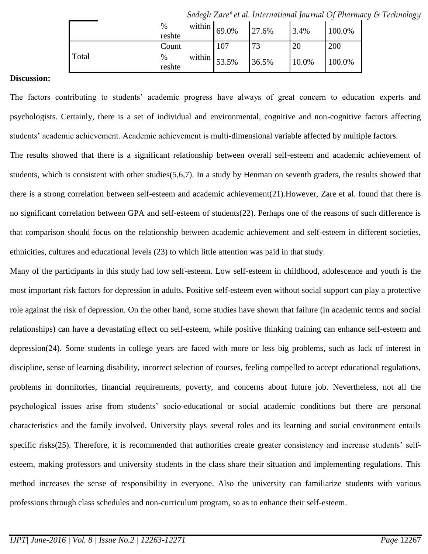|       | $\%$<br>reshte | within $69.0\%$ |     | 27.6% | 3.4%  | 100.0% |
|-------|----------------|-----------------|-----|-------|-------|--------|
|       | Count          |                 | 107 | 73    | 20    | 200    |
| Total | $\%$<br>reshte | within $53.5\%$ |     | 36.5% | 10.0% | 100.0% |

*Sadegh Zare\*et al. International Journal Of Pharmacy & Technology*

#### **Discussion:**

The factors contributing to students' academic progress have always of great concern to education experts and psychologists. Certainly, there is a set of individual and environmental, cognitive and non-cognitive factors affecting students' academic achievement. Academic achievement is multi-dimensional variable affected by multiple factors.

The results showed that there is a significant relationship between overall self-esteem and academic achievement of students, which is consistent with other studies(5,6,7). In a study by Henman on seventh graders, the results showed that there is a strong correlation between self-esteem and academic achievement(21).However, Zare et al. found that there is no significant correlation between GPA and self-esteem of students(22). Perhaps one of the reasons of such difference is that comparison should focus on the relationship between academic achievement and self-esteem in different societies, ethnicities, cultures and educational levels (23) to which little attention was paid in that study.

Many of the participants in this study had low self-esteem. Low self-esteem in childhood, adolescence and youth is the most important risk factors for depression in adults. Positive self-esteem even without social support can play a protective role against the risk of depression. On the other hand, some studies have shown that failure (in academic terms and social relationships) can have a devastating effect on self-esteem, while positive thinking training can enhance self-esteem and depression(24). Some students in college years are faced with more or less big problems, such as lack of interest in discipline, sense of learning disability, incorrect selection of courses, feeling compelled to accept educational regulations, problems in dormitories, financial requirements, poverty, and concerns about future job. Nevertheless, not all the psychological issues arise from students' socio-educational or social academic conditions but there are personal characteristics and the family involved. University plays several roles and its learning and social environment entails specific risks(25). Therefore, it is recommended that authorities create greater consistency and increase students' selfesteem, making professors and university students in the class share their situation and implementing regulations. This method increases the sense of responsibility in everyone. Also the university can familiarize students with various professions through class schedules and non-curriculum program, so as to enhance their self-esteem.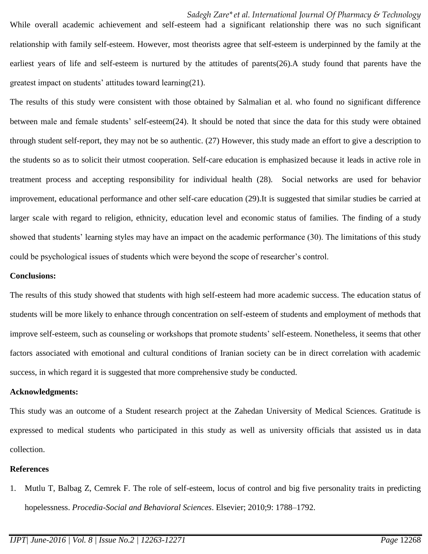While overall academic achievement and self-esteem had a significant relationship there was no such significant relationship with family self-esteem. However, most theorists agree that self-esteem is underpinned by the family at the earliest years of life and self-esteem is nurtured by the attitudes of parents(26).A study found that parents have the greatest impact on students' attitudes toward learning(21).

The results of this study were consistent with those obtained by Salmalian et al. who found no significant difference between male and female students' self-esteem(24). It should be noted that since the data for this study were obtained through student self-report, they may not be so authentic. (27) However, this study made an effort to give a description to the students so as to solicit their utmost cooperation. Self-care education is emphasized because it leads in active role in treatment process and accepting responsibility for individual health (28). Social networks are used for behavior improvement, educational performance and other self-care education (29).It is suggested that similar studies be carried at larger scale with regard to religion, ethnicity, education level and economic status of families. The finding of a study showed that students' learning styles may have an impact on the academic performance (30). The limitations of this study could be psychological issues of students which were beyond the scope of researcher's control.

### **Conclusions:**

The results of this study showed that students with high self-esteem had more academic success. The education status of students will be more likely to enhance through concentration on self-esteem of students and employment of methods that improve self-esteem, such as counseling or workshops that promote students' self-esteem. Nonetheless, it seems that other factors associated with emotional and cultural conditions of Iranian society can be in direct correlation with academic success, in which regard it is suggested that more comprehensive study be conducted.

#### **Acknowledgments:**

This study was an outcome of a Student research project at the Zahedan University of Medical Sciences. Gratitude is expressed to medical students who participated in this study as well as university officials that assisted us in data collection.

## **References**

1. Mutlu T, Balbag Z, Cemrek F. The role of self-esteem, locus of control and big five personality traits in predicting hopelessness. *Procedia-Social and Behavioral Sciences*. Elsevier; 2010;9: 1788–1792.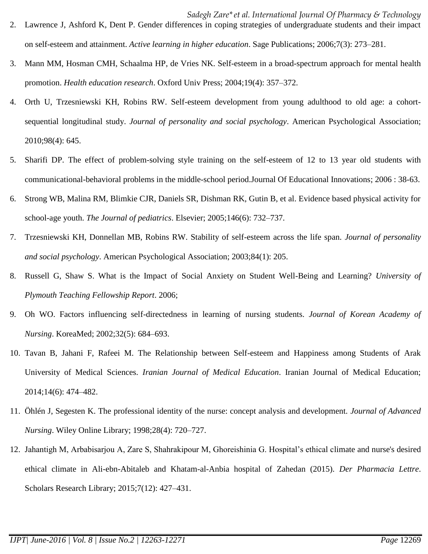- *Sadegh Zare\*et al. International Journal Of Pharmacy & Technology* 2. Lawrence J, Ashford K, Dent P. Gender differences in coping strategies of undergraduate students and their impact on self-esteem and attainment. *Active learning in higher education*. Sage Publications; 2006;7(3): 273–281.
- 3. Mann MM, Hosman CMH, Schaalma HP, de Vries NK. Self-esteem in a broad-spectrum approach for mental health promotion. *Health education research*. Oxford Univ Press; 2004;19(4): 357–372.
- 4. Orth U, Trzesniewski KH, Robins RW. Self-esteem development from young adulthood to old age: a cohortsequential longitudinal study. *Journal of personality and social psychology*. American Psychological Association; 2010;98(4): 645.
- 5. Sharifi DP. The effect of problem-solving style training on the self-esteem of 12 to 13 year old students with communicational-behavioral problems in the middle-school period.Journal Of Educational Innovations; 2006 : 38-63.
- 6. Strong WB, Malina RM, Blimkie CJR, Daniels SR, Dishman RK, Gutin B, et al. Evidence based physical activity for school-age youth. *The Journal of pediatrics*. Elsevier; 2005;146(6): 732–737.
- 7. Trzesniewski KH, Donnellan MB, Robins RW. Stability of self-esteem across the life span. *Journal of personality and social psychology*. American Psychological Association; 2003;84(1): 205.
- 8. Russell G, Shaw S. What is the Impact of Social Anxiety on Student Well-Being and Learning? *University of Plymouth Teaching Fellowship Report*. 2006;
- 9. Oh WO. Factors influencing self-directedness in learning of nursing students. *Journal of Korean Academy of Nursing*. KoreaMed; 2002;32(5): 684–693.
- 10. Tavan B, Jahani F, Rafeei M. The Relationship between Self-esteem and Happiness among Students of Arak University of Medical Sciences. *Iranian Journal of Medical Education*. Iranian Journal of Medical Education; 2014;14(6): 474–482.
- 11. Öhlén J, Segesten K. The professional identity of the nurse: concept analysis and development. *Journal of Advanced Nursing*. Wiley Online Library; 1998;28(4): 720–727.
- 12. Jahantigh M, Arbabisarjou A, Zare S, Shahrakipour M, Ghoreishinia G. Hospital's ethical climate and nurse's desired ethical climate in Ali-ebn-Abitaleb and Khatam-al-Anbia hospital of Zahedan (2015). *Der Pharmacia Lettre*. Scholars Research Library; 2015;7(12): 427–431.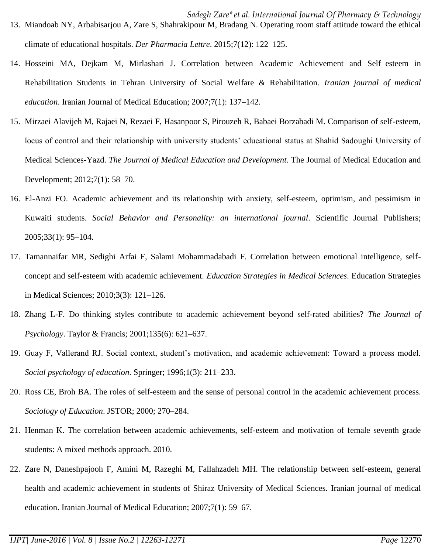- *Sadegh Zare\*et al. International Journal Of Pharmacy & Technology* 13. Miandoab NY, Arbabisarjou A, Zare S, Shahrakipour M, Bradang N. Operating room staff attitude toward the ethical climate of educational hospitals. *Der Pharmacia Lettre*. 2015;7(12): 122–125.
- 14. Hosseini MA, Dejkam M, Mirlashari J. Correlation between Academic Achievement and Self–esteem in Rehabilitation Students in Tehran University of Social Welfare & Rehabilitation. *Iranian journal of medical education*. Iranian Journal of Medical Education; 2007;7(1): 137–142.
- 15. Mirzaei Alavijeh M, Rajaei N, Rezaei F, Hasanpoor S, Pirouzeh R, Babaei Borzabadi M. Comparison of self-esteem, locus of control and their relationship with university students' educational status at Shahid Sadoughi University of Medical Sciences-Yazd. *The Journal of Medical Education and Development*. The Journal of Medical Education and Development; 2012;7(1): 58–70.
- 16. El-Anzi FO. Academic achievement and its relationship with anxiety, self-esteem, optimism, and pessimism in Kuwaiti students. *Social Behavior and Personality: an international journal*. Scientific Journal Publishers; 2005;33(1): 95–104.
- 17. Tamannaifar MR, Sedighi Arfai F, Salami Mohammadabadi F. Correlation between emotional intelligence, selfconcept and self-esteem with academic achievement. *Education Strategies in Medical Sciences*. Education Strategies in Medical Sciences; 2010;3(3): 121–126.
- 18. Zhang L-F. Do thinking styles contribute to academic achievement beyond self-rated abilities? *The Journal of Psychology*. Taylor & Francis; 2001;135(6): 621–637.
- 19. Guay F, Vallerand RJ. Social context, student's motivation, and academic achievement: Toward a process model. *Social psychology of education*. Springer; 1996;1(3): 211–233.
- 20. Ross CE, Broh BA. The roles of self-esteem and the sense of personal control in the academic achievement process. *Sociology of Education*. JSTOR; 2000; 270–284.
- 21. Henman K. The correlation between academic achievements, self-esteem and motivation of female seventh grade students: A mixed methods approach. 2010.
- 22. Zare N, Daneshpajooh F, Amini M, Razeghi M, Fallahzadeh MH. The relationship between self-esteem, general health and academic achievement in students of Shiraz University of Medical Sciences. Iranian journal of medical education. Iranian Journal of Medical Education; 2007;7(1): 59–67.